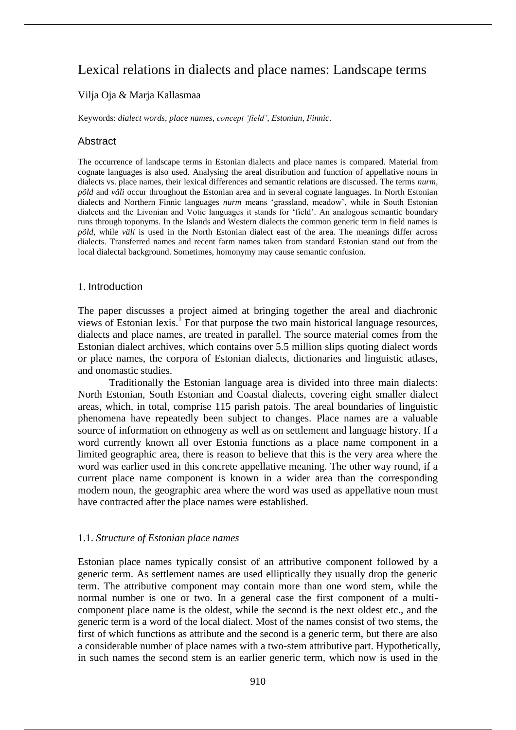# Lexical relations in dialects and place names: Landscape terms

# Vilja Oja & Marja Kallasmaa

Keywords: *dialect words*, *place names*, *concept 'field'*, *Estonian*, *Finnic*.

# **Abstract**

The occurrence of landscape terms in Estonian dialects and place names is compared. Material from cognate languages is also used. Analysing the areal distribution and function of appellative nouns in dialects vs. place names, their lexical differences and semantic relations are discussed. The terms *nurm, põld* and *väli* occur throughout the Estonian area and in several cognate languages. In North Estonian dialects and Northern Finnic languages *nurm* means 'grassland, meadow', while in South Estonian dialects and the Livonian and Votic languages it stands for 'field'. An analogous semantic boundary runs through toponyms. In the Islands and Western dialects the common generic term in field names is *põld,* while *väli* is used in the North Estonian dialect east of the area. The meanings differ across dialects. Transferred names and recent farm names taken from standard Estonian stand out from the local dialectal background. Sometimes, homonymy may cause semantic confusion.

# 1. Introduction

The paper discusses a project aimed at bringing together the areal and diachronic views of Estonian lexis.<sup>1</sup> For that purpose the two main historical language resources, dialects and place names, are treated in parallel. The source material comes from the Estonian dialect archives, which contains over 5.5 million slips quoting dialect words or place names, the corpora of Estonian dialects, dictionaries and linguistic atlases, and onomastic studies.

Traditionally the Estonian language area is divided into three main dialects: North Estonian, South Estonian and Coastal dialects, covering eight smaller dialect areas, which, in total, comprise 115 parish patois. The areal boundaries of linguistic phenomena have repeatedly been subject to changes. Place names are a valuable source of information on ethnogeny as well as on settlement and language history. If a word currently known all over Estonia functions as a place name component in a limited geographic area, there is reason to believe that this is the very area where the word was earlier used in this concrete appellative meaning. The other way round, if a current place name component is known in a wider area than the corresponding modern noun, the geographic area where the word was used as appellative noun must have contracted after the place names were established.

# 1.1. *Structure of Estonian place names*

Estonian place names typically consist of an attributive component followed by a generic term. As settlement names are used elliptically they usually drop the generic term. The attributive component may contain more than one word stem, while the normal number is one or two. In a general case the first component of a multicomponent place name is the oldest, while the second is the next oldest etc., and the generic term is a word of the local dialect. Most of the names consist of two stems, the first of which functions as attribute and the second is a generic term, but there are also a considerable number of place names with a two-stem attributive part. Hypothetically, in such names the second stem is an earlier generic term, which now is used in the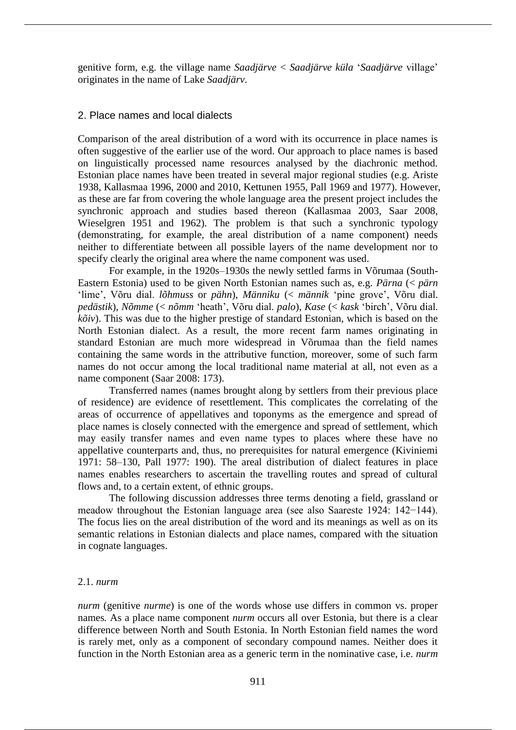genitive form, e.g. the village name *Saadjärve* < *Saadjärve küla* '*Saadjärve* village' originates in the name of Lake *Saadjärv*.

# 2. Place names and local dialects

Comparison of the areal distribution of a word with its occurrence in place names is often suggestive of the earlier use of the word. Our approach to place names is based on linguistically processed name resources analysed by the diachronic method. Estonian place names have been treated in several major regional studies (e.g. Ariste 1938, Kallasmaa 1996, 2000 and 2010, Kettunen 1955, Pall 1969 and 1977). However, as these are far from covering the whole language area the present project includes the synchronic approach and studies based thereon (Kallasmaa 2003, Saar 2008, Wieselgren 1951 and 1962). The problem is that such a synchronic typology (demonstrating, for example, the areal distribution of a name component) needs neither to differentiate between all possible layers of the name development nor to specify clearly the original area where the name component was used.

For example, in the 1920s–1930s the newly settled farms in Võrumaa (South-Eastern Estonia) used to be given North Estonian names such as, e.g. *Pärna* (< *pärn*  'lime', Võru dial. *lõhmuss* or *pähn*), *Männiku* (< *männik* 'pine grove', Võru dial. *pedästik*), *Nõmme* (< *nõmm* 'heath', Võru dial. *palo*), *Kase* (< *kask* 'birch', Võru dial. *kõiv*). This was due to the higher prestige of standard Estonian, which is based on the North Estonian dialect. As a result, the more recent farm names originating in standard Estonian are much more widespread in Võrumaa than the field names containing the same words in the attributive function, moreover, some of such farm names do not occur among the local traditional name material at all, not even as a name component (Saar 2008: 173).

Transferred names (names brought along by settlers from their previous place of residence) are evidence of resettlement. This complicates the correlating of the areas of occurrence of appellatives and toponyms as the emergence and spread of place names is closely connected with the emergence and spread of settlement, which may easily transfer names and even name types to places where these have no appellative counterparts and, thus, no prerequisites for natural emergence (Kiviniemi 1971: 58–130, Pall 1977: 190). The areal distribution of dialect features in place names enables researchers to ascertain the travelling routes and spread of cultural flows and, to a certain extent, of ethnic groups.

The following discussion addresses three terms denoting a field, grassland or meadow throughout the Estonian language area (see also Saareste 1924: 142−144). The focus lies on the areal distribution of the word and its meanings as well as on its semantic relations in Estonian dialects and place names, compared with the situation in cognate languages.

#### 2.1. *nurm*

*nurm* (genitive *nurme*) is one of the words whose use differs in common vs. proper names*.* As a place name component *nurm* occurs all over Estonia, but there is a clear difference between North and South Estonia. In North Estonian field names the word is rarely met, only as a component of secondary compound names. Neither does it function in the North Estonian area as a generic term in the nominative case, i.e. *nurm*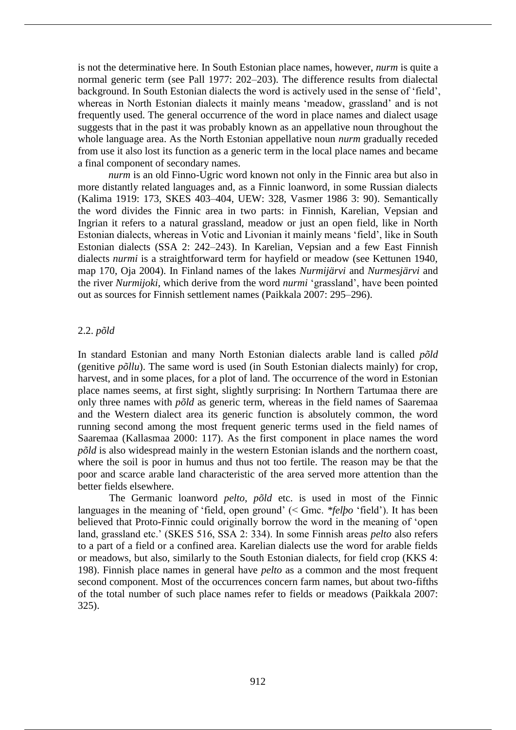is not the determinative here. In South Estonian place names, however, *nurm* is quite a normal generic term (see Pall 1977: 202–203). The difference results from dialectal background. In South Estonian dialects the word is actively used in the sense of 'field', whereas in North Estonian dialects it mainly means 'meadow, grassland' and is not frequently used. The general occurrence of the word in place names and dialect usage suggests that in the past it was probably known as an appellative noun throughout the whole language area. As the North Estonian appellative noun *nurm* gradually receded from use it also lost its function as a generic term in the local place names and became a final component of secondary names.

*nurm* is an old Finno-Ugric word known not only in the Finnic area but also in more distantly related languages and, as a Finnic loanword, in some Russian dialects (Kalima 1919: 173, SKES 403–404, UEW: 328, Vasmer 1986 3: 90). Semantically the word divides the Finnic area in two parts: in Finnish, Karelian, Vepsian and Ingrian it refers to a natural grassland, meadow or just an open field, like in North Estonian dialects, whereas in Votic and Livonian it mainly means 'field', like in South Estonian dialects (SSA 2: 242–243). In Karelian, Vepsian and a few East Finnish dialects *nurmi* is a straightforward term for hayfield or meadow (see Kettunen 1940, map 170, Oja 2004). In Finland names of the lakes *Nurmijärvi* and *Nurmesjärvi* and the river *Nurmijoki*, which derive from the word *nurmi* 'grassland', have been pointed out as sources for Finnish settlement names (Paikkala 2007: 295–296).

#### 2.2. *põld*

In standard Estonian and many North Estonian dialects arable land is called *põld*  (genitive *põllu*). The same word is used (in South Estonian dialects mainly) for crop, harvest, and in some places, for a plot of land. The occurrence of the word in Estonian place names seems, at first sight, slightly surprising: In Northern Tartumaa there are only three names with *põld* as generic term, whereas in the field names of Saaremaa and the Western dialect area its generic function is absolutely common, the word running second among the most frequent generic terms used in the field names of Saaremaa (Kallasmaa 2000: 117). As the first component in place names the word *põld* is also widespread mainly in the western Estonian islands and the northern coast, where the soil is poor in humus and thus not too fertile. The reason may be that the poor and scarce arable land characteristic of the area served more attention than the better fields elsewhere.

The Germanic loanword *pelto*, *põld* etc. is used in most of the Finnic languages in the meaning of 'field, open ground' (< Gmc. *\*felþo* 'field'). It has been believed that Proto-Finnic could originally borrow the word in the meaning of 'open land, grassland etc.' (SKES 516, SSA 2: 334). In some Finnish areas *pelto* also refers to a part of a field or a confined area. Karelian dialects use the word for arable fields or meadows, but also, similarly to the South Estonian dialects, for field crop (KKS 4: 198). Finnish place names in general have *pelto* as a common and the most frequent second component. Most of the occurrences concern farm names, but about two-fifths of the total number of such place names refer to fields or meadows (Paikkala 2007: 325).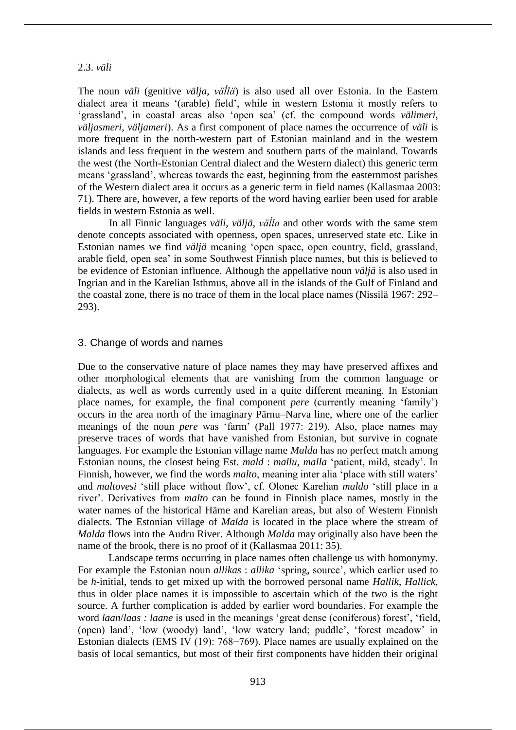#### 2.3. *väli*

The noun *väli* (genitive *välja*, *väĺlä*) is also used all over Estonia. In the Eastern dialect area it means '(arable) field', while in western Estonia it mostly refers to 'grassland', in coastal areas also 'open sea' (cf. the compound words *välimeri*, *väljasmeri*, *väljameri*). As a first component of place names the occurrence of *väli* is more frequent in the north-western part of Estonian mainland and in the western islands and less frequent in the western and southern parts of the mainland. Towards the west (the North-Estonian Central dialect and the Western dialect) this generic term means 'grassland', whereas towards the east, beginning from the easternmost parishes of the Western dialect area it occurs as a generic term in field names (Kallasmaa 2003: 71). There are, however, a few reports of the word having earlier been used for arable fields in western Estonia as well.

In all Finnic languages *väli*, *väljä*, *väĺla* and other words with the same stem denote concepts associated with openness, open spaces, unreserved state etc. Like in Estonian names we find *väljä* meaning 'open space, open country, field, grassland, arable field, open sea' in some Southwest Finnish place names, but this is believed to be evidence of Estonian influence. Although the appellative noun *väljä* is also used in Ingrian and in the Karelian Isthmus, above all in the islands of the Gulf of Finland and the coastal zone, there is no trace of them in the local place names (Nissilä 1967: 292– 293).

#### 3. Change of words and names

Due to the conservative nature of place names they may have preserved affixes and other morphological elements that are vanishing from the common language or dialects, as well as words currently used in a quite different meaning. In Estonian place names, for example, the final component *pere* (currently meaning 'family') occurs in the area north of the imaginary Pärnu–Narva line, where one of the earlier meanings of the noun *pere* was 'farm' (Pall 1977: 219). Also, place names may preserve traces of words that have vanished from Estonian, but survive in cognate languages. For example the Estonian village name *Malda* has no perfect match among Estonian nouns, the closest being Est. *mald* : *mallu*, *malla* 'patient, mild, steady'. In Finnish, however, we find the words *malto*, meaning inter alia 'place with still waters' and *maltovesi* 'still place without flow', cf. Olonec Karelian *maldo* 'still place in a river'. Derivatives from *malto* can be found in Finnish place names, mostly in the water names of the historical Häme and Karelian areas, but also of Western Finnish dialects. The Estonian village of *Malda* is located in the place where the stream of *Malda* flows into the Audru River. Although *Malda* may originally also have been the name of the brook, there is no proof of it (Kallasmaa 2011: 35).

Landscape terms occurring in place names often challenge us with homonymy. For example the Estonian noun *allikas* : *allika* 'spring, source', which earlier used to be *h*-initial, tends to get mixed up with the borrowed personal name *Hallik*, *Hallick*, thus in older place names it is impossible to ascertain which of the two is the right source. A further complication is added by earlier word boundaries. For example the word *laan*/*laas : laane* is used in the meanings 'great dense (coniferous) forest', 'field, (open) land', 'low (woody) land', 'low watery land; puddle', 'forest meadow' in Estonian dialects (EMS IV (19): 768−769). Place names are usually explained on the basis of local semantics, but most of their first components have hidden their original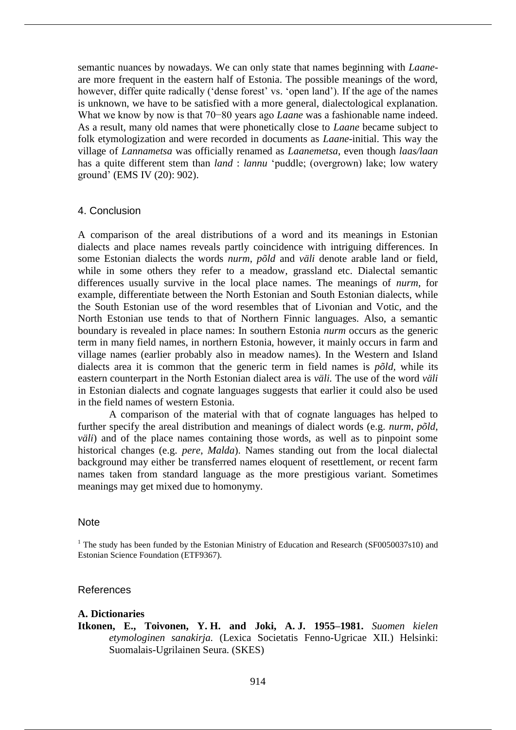semantic nuances by nowadays. We can only state that names beginning with *Laane*are more frequent in the eastern half of Estonia. The possible meanings of the word, however, differ quite radically ('dense forest' vs. 'open land'). If the age of the names is unknown, we have to be satisfied with a more general, dialectological explanation. What we know by now is that 70−80 years ago *Laane* was a fashionable name indeed. As a result, many old names that were phonetically close to *Laane* became subject to folk etymologization and were recorded in documents as *Laane*-initial. This way the village of *Lannametsa* was officially renamed as *Laanemetsa*, even though *laas/laan*  has a quite different stem than *land* : *lannu* 'puddle; (overgrown) lake; low watery ground' (EMS IV (20): 902).

# 4. Conclusion

A comparison of the areal distributions of a word and its meanings in Estonian dialects and place names reveals partly coincidence with intriguing differences. In some Estonian dialects the words *nurm*, *põld* and *väli* denote arable land or field, while in some others they refer to a meadow, grassland etc. Dialectal semantic differences usually survive in the local place names. The meanings of *nurm*, for example, differentiate between the North Estonian and South Estonian dialects, while the South Estonian use of the word resembles that of Livonian and Votic, and the North Estonian use tends to that of Northern Finnic languages. Also, a semantic boundary is revealed in place names: In southern Estonia *nurm* occurs as the generic term in many field names, in northern Estonia, however, it mainly occurs in farm and village names (earlier probably also in meadow names). In the Western and Island dialects area it is common that the generic term in field names is *põld,* while its eastern counterpart in the North Estonian dialect area is *väli.* The use of the word *väli*  in Estonian dialects and cognate languages suggests that earlier it could also be used in the field names of western Estonia.

A comparison of the material with that of cognate languages has helped to further specify the areal distribution and meanings of dialect words (e.g. *nurm*, *põld*, *väli*) and of the place names containing those words, as well as to pinpoint some historical changes (e.g. *pere*, *Malda*). Names standing out from the local dialectal background may either be transferred names eloquent of resettlement, or recent farm names taken from standard language as the more prestigious variant. Sometimes meanings may get mixed due to homonymy.

#### **Note**

 $1$  The study has been funded by the Estonian Ministry of Education and Research (SF0050037s10) and Estonian Science Foundation (ETF9367).

### References

# **A. Dictionaries**

**Itkonen, E., Toivonen, Y. H. and Joki, A. J. 1955–1981.** *Suomen kielen etymologinen sanakirja.* (Lexica Societatis Fenno-Ugricae XII.) Helsinki: Suomalais-Ugrilainen Seura. (SKES)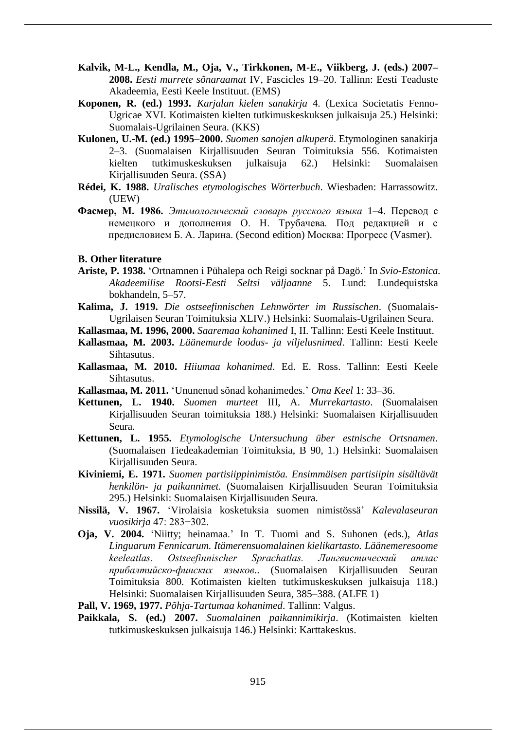- **Kalvik, M-L., Kendla, M., Oja, V., Tirkkonen, M-E., Viikberg, J. (eds.) 2007– 2008.** *Eesti murrete sõnaraamat* IV, Fascicles 19–20. Tallinn: Eesti Teaduste Akadeemia, Eesti Keele Instituut. (EMS)
- **Koponen, R. (ed.) 1993.** *Karjalan kielen sanakirja* 4. (Lexica Societatis Fenno-Ugricae XVI. Kotimaisten kielten tutkimuskeskuksen julkaisuja 25.) Helsinki: Suomalais-Ugrilainen Seura. (KKS)
- **Kulonen, U.-M. (ed.) 1995–2000.** *Suomen sanojen alkuperä*. Etymologinen sanakirja 2–3. (Suomalaisen Kirjallisuuden Seuran Toimituksia 556. Kotimaisten kielten tutkimuskeskuksen julkaisuja 62.) Helsinki: Suomalaisen Kirjallisuuden Seura. (SSA)
- **Rédei, K. 1988.** *Uralisches etymologisches Wörterbuch*. Wiesbaden: Harrassowitz. (UEW)
- **Фасмер, M. 1986.** *Этимологический словарь русского языка* 1–4. Перевод с немецкого и дополнения О. Н. Трубачева. Под редакцией и с предисловием Б. А. Ларина. (Second edition) Москва: Прогресс (Vasmer).
- **B. Other literature**
- **Ariste, P. 1938.** 'Ortnamnen i Pühalepa och Reigi socknar på Dagö.' In *Svio-Estonica. Akadeemilise Rootsi-Eesti Seltsi väljaanne* 5. Lund: Lundequistska bokhandeln, 5–57.
- **Kalima, J. 1919.** *Die ostseefinnischen Lehnwörter im Russischen*. (Suomalais-Ugrilaisen Seuran Toimituksia XLIV.) Helsinki: Suomalais-Ugrilainen Seura.
- **Kallasmaa, M. 1996, 2000.** *Saaremaa kohanimed* I, II. Tallinn: Eesti Keele Instituut.
- **Kallasmaa, M. 2003.** *Läänemurde loodus- ja viljelusnimed*. Tallinn: Eesti Keele Sihtasutus.
- **Kallasmaa, M. 2010.** *Hiiumaa kohanimed*. Ed. E. Ross. Tallinn: Eesti Keele Sihtasutus.
- **Kallasmaa, M. 2011.** 'Ununenud sõnad kohanimedes.' *Oma Keel* 1: 33–36.
- **Kettunen, L. 1940.** *Suomen murteet* III, A. *Murrekartasto*. (Suomalaisen Kirjallisuuden Seuran toimituksia 188.) Helsinki: Suomalaisen Kirjallisuuden Seura.
- **Kettunen, L. 1955.** *Etymologische Untersuchung über estnische Ortsnamen*. (Suomalaisen Tiedeakademian Toimituksia, B 90, 1.) Helsinki: Suomalaisen Kirjallisuuden Seura.
- **Kiviniemi, E. 1971.** *Suomen partisiippinimistöa. Ensimmäisen partisiipin sisältävät henkilön- ja paikannimet.* (Suomalaisen Kirjallisuuden Seuran Toimituksia 295.) Helsinki: Suomalaisen Kirjallisuuden Seura.
- **Nissilä, V. 1967.** 'Virolaisia kosketuksia suomen nimistössä' *Kalevalaseuran vuosikirja* 47: 283−302.
- **Oja, V. 2004.** 'Niitty; heinamaa.' In T. Tuomi and S. Suhonen (eds.), *Atlas Linguarum Fennicarum. Itämerensuomalainen kielikartasto. Läänemeresoome keeleatlas. Ostseefinnischer Sprachatlas. Лингвистический атлас прибалтийско-финских языков*.. (Suomalaisen Kirjallisuuden Seuran Toimituksia 800. Kotimaisten kielten tutkimuskeskuksen julkaisuja 118.) Helsinki: Suomalaisen Kirjallisuuden Seura, 385–388. (ALFE 1)
- **Pall, V. 1969, 1977.** *Põhja-Tartumaa kohanimed*. Tallinn: Valgus.
- **Paikkala, S. (ed.) 2007.** *Suomalainen paikannimikirja*. (Kotimaisten kielten tutkimuskeskuksen julkaisuja 146.) Helsinki: Karttakeskus.